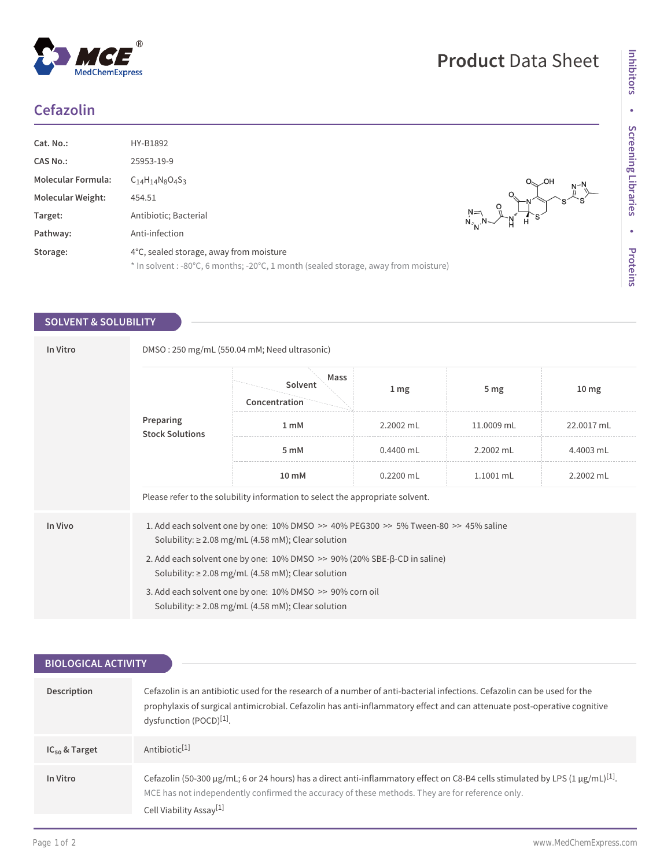## **Cefazolin**

| Cat. No.:                 | HY-B1892                                                                                                                       |          |
|---------------------------|--------------------------------------------------------------------------------------------------------------------------------|----------|
| <b>CAS No.:</b>           | 25953-19-9                                                                                                                     |          |
| <b>Molecular Formula:</b> | $C_{14}H_{14}N_8O_4S_3$                                                                                                        | $N^{-1}$ |
| <b>Molecular Weight:</b>  | 454.51                                                                                                                         | Ċ        |
| Target:                   | Antibiotic; Bacterial                                                                                                          |          |
| Pathway:                  | Anti-infection                                                                                                                 |          |
| Storage:                  | 4°C, sealed storage, away from moisture<br>* In solvent : -80°C, 6 months; -20°C, 1 month (sealed storage, away from moisture) |          |

## **SOLVENT & SOLUBILITY**

| In Vitro |                                     | DMSO: 250 mg/mL (550.04 mM; Need ultrasonic)                                                                                                               |                 |                 |                  |
|----------|-------------------------------------|------------------------------------------------------------------------------------------------------------------------------------------------------------|-----------------|-----------------|------------------|
|          |                                     | Mass<br>Solvent<br>Concentration                                                                                                                           | 1 <sub>mg</sub> | 5 <sub>mg</sub> | 10 <sub>mg</sub> |
|          | Preparing<br><b>Stock Solutions</b> | $1 \text{ mM}$                                                                                                                                             | 2.2002 mL       | 11.0009 mL      | 22.0017 mL       |
|          |                                     | 5 mM                                                                                                                                                       | $0.4400$ mL     | 2.2002 mL       | 4.4003 mL        |
|          |                                     | $10 \text{ mM}$                                                                                                                                            | $0.2200$ mL     | 1.1001 mL       | 2.2002 mL        |
|          |                                     | Please refer to the solubility information to select the appropriate solvent.                                                                              |                 |                 |                  |
| In Vivo  |                                     | 1. Add each solvent one by one: $10\%$ DMSO $\gg$ 40% PEG300 $\gg$ 5% Tween-80 $\gg$ 45% saline<br>Solubility: $\geq$ 2.08 mg/mL (4.58 mM); Clear solution |                 |                 |                  |
|          |                                     | 2. Add each solvent one by one: 10% DMSO >> 90% (20% SBE-β-CD in saline)<br>Solubility: $\geq$ 2.08 mg/mL (4.58 mM); Clear solution                        |                 |                 |                  |
|          |                                     | 3. Add each solvent one by one: 10% DMSO >> 90% corn oil<br>Solubility: $\geq$ 2.08 mg/mL (4.58 mM); Clear solution                                        |                 |                 |                  |

| <b>BIOLOGICAL ACTIVITY</b> |                                                                                                                                                                                                                                                                                     |
|----------------------------|-------------------------------------------------------------------------------------------------------------------------------------------------------------------------------------------------------------------------------------------------------------------------------------|
|                            |                                                                                                                                                                                                                                                                                     |
| <b>Description</b>         | Cefazolin is an antibiotic used for the research of a number of anti-bacterial infections. Cefazolin can be used for the<br>prophylaxis of surgical antimicrobial. Cefazolin has anti-inflammatory effect and can attenuate post-operative cognitive<br>dysfunction (POCD)[1].      |
| $IC_{50}$ & Target         | Antibiotic <sup>[1]</sup>                                                                                                                                                                                                                                                           |
| In Vitro                   | Cefazolin (50-300 µg/mL; 6 or 24 hours) has a direct anti-inflammatory effect on C8-B4 cells stimulated by LPS (1 µg/mL) <sup>[1]</sup> .<br>MCE has not independently confirmed the accuracy of these methods. They are for reference only.<br>Cell Viability Assay <sup>[1]</sup> |
|                            |                                                                                                                                                                                                                                                                                     |

**Product** Data Sheet